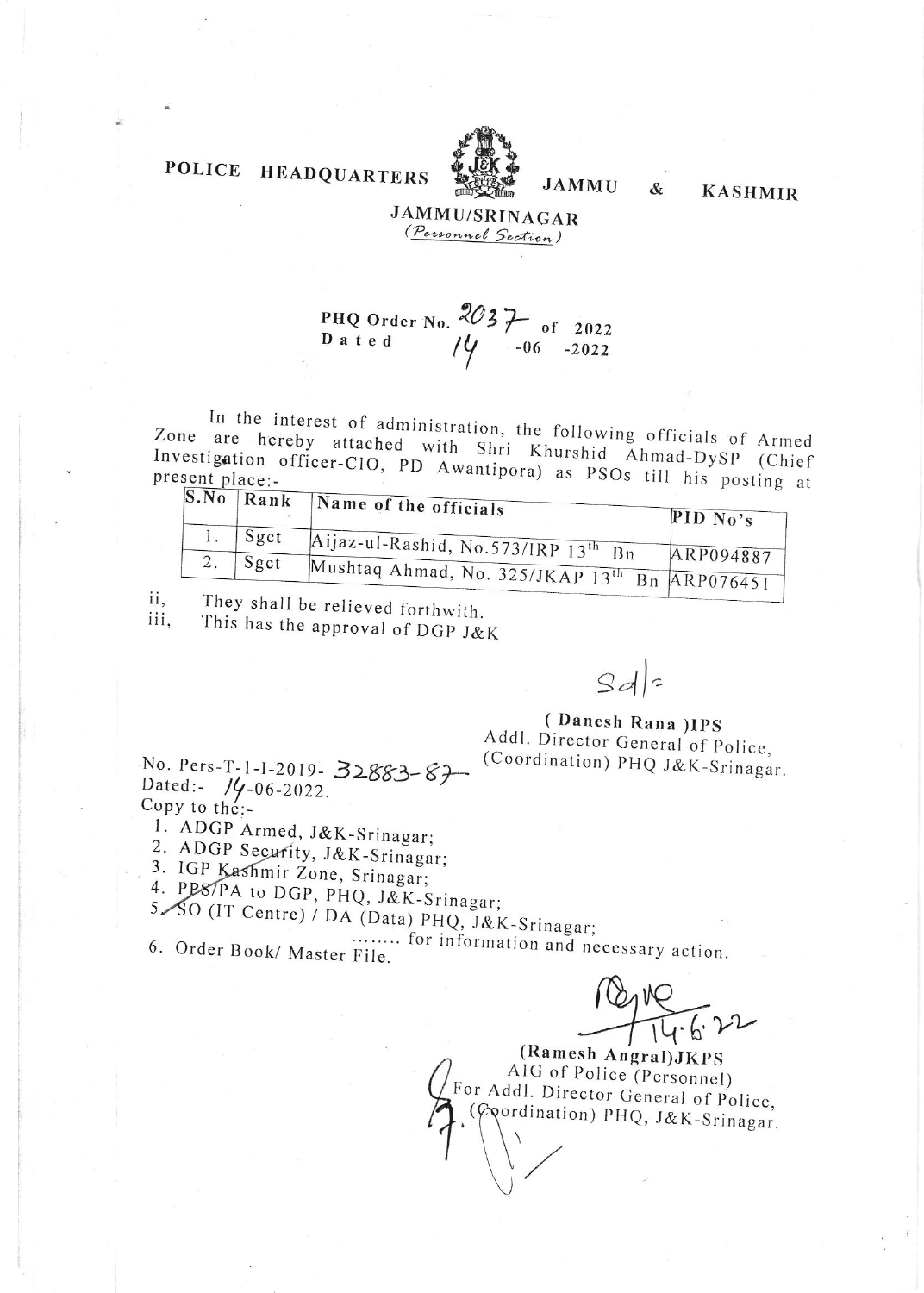### POLICE **HEADQUARTERS**



## **JAMMU**

&

**KASHMIR** 

## **JAMMU/SRINAGAR** (Personnel Section)

PHQ Order No.  $2037$  of 2022<br>D a t e d  $14$  -06 -2022

In the interest of administration, the following officials of Armed Zone are hereby attached with Shri Khurshid Ahmad-DySP (Chief Investigation officer-CIO, PD Awantipora) as PSOs till his posting at

| $\mathbf{S}.\mathbf{No}$   Rank | Name of the officials                                     | PID $N_0$ 's |
|---------------------------------|-----------------------------------------------------------|--------------|
| Sgct                            | Aijaz-ul-Rashid, No.573/IRP 13 <sup>th</sup> Bn           |              |
| Sgct                            | Mushtaq Ahmad, No. 325/JKAP 13 <sup>th</sup> Rn ARP076451 | ARP094887    |

They shall be relieved forthwith. ii,

This has the approval of DGP J&K iii,

 $Sd$ 

(Danesh Rana) IPS Addl. Director General of Police, (Coordination) PHQ J&K-Srinagar.

No. Pers-T-1-1-2019-32883-87 Dated:-  $1/4 - 06 - 2022$ . Copy to the:-

1. ADGP Armed, J&K-Srinagar;

2. ADGP Security, J&K-Srinagar;

3. IGP Kashmir Zone, Srinagar;

4. PPS/PA to DGP, PHQ, J&K-Srinagar; 5. SO (IT Centre) / DA (Data) PHQ, J&K-Srinagar;

........ for information and necessary action. 6. Order Book/ Master File.

2119-6-22

(Ramesh Angral) JKPS AIG of Police (Personnel) For Addl. Director General of Police, (Coordination) PHQ, J&K-Srinagar.